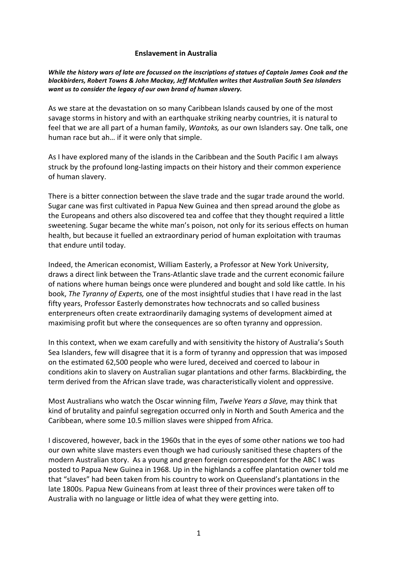## **Enslavement in Australia**

*While the history wars of late are focussed on the inscriptions of statues of Captain James Cook and the* blackbirders, Robert Towns & John Mackay, Jeff McMullen writes that Australian South Sea Islanders want us to consider the legacy of our own brand of human slavery.

As we stare at the devastation on so many Caribbean Islands caused by one of the most savage storms in history and with an earthquake striking nearby countries, it is natural to feel that we are all part of a human family, *Wantoks*, as our own Islanders say. One talk, one human race but ah... if it were only that simple.

As I have explored many of the islands in the Caribbean and the South Pacific I am always struck by the profound long-lasting impacts on their history and their common experience of human slavery.

There is a bitter connection between the slave trade and the sugar trade around the world. Sugar cane was first cultivated in Papua New Guinea and then spread around the globe as the Europeans and others also discovered tea and coffee that they thought required a little sweetening. Sugar became the white man's poison, not only for its serious effects on human health, but because it fuelled an extraordinary period of human exploitation with traumas that endure until today.

Indeed, the American economist, William Easterly, a Professor at New York University, draws a direct link between the Trans-Atlantic slave trade and the current economic failure of nations where human beings once were plundered and bought and sold like cattle. In his book, *The Tyranny of Experts,* one of the most insightful studies that I have read in the last fifty years, Professor Easterly demonstrates how technocrats and so called business enterpreneurs often create extraordinarily damaging systems of development aimed at maximising profit but where the consequences are so often tyranny and oppression.

In this context, when we exam carefully and with sensitivity the history of Australia's South Sea Islanders, few will disagree that it is a form of tyranny and oppression that was imposed on the estimated 62,500 people who were lured, deceived and coerced to labour in conditions akin to slavery on Australian sugar plantations and other farms. Blackbirding, the term derived from the African slave trade, was characteristically violent and oppressive.

Most Australians who watch the Oscar winning film, *Twelve Years a Slave*, may think that kind of brutality and painful segregation occurred only in North and South America and the Caribbean, where some 10.5 million slaves were shipped from Africa.

I discovered, however, back in the 1960s that in the eyes of some other nations we too had our own white slave masters even though we had curiously sanitised these chapters of the modern Australian story. As a young and green foreign correspondent for the ABC I was posted to Papua New Guinea in 1968. Up in the highlands a coffee plantation owner told me that "slaves" had been taken from his country to work on Queensland's plantations in the late 1800s. Papua New Guineans from at least three of their provinces were taken off to Australia with no language or little idea of what they were getting into.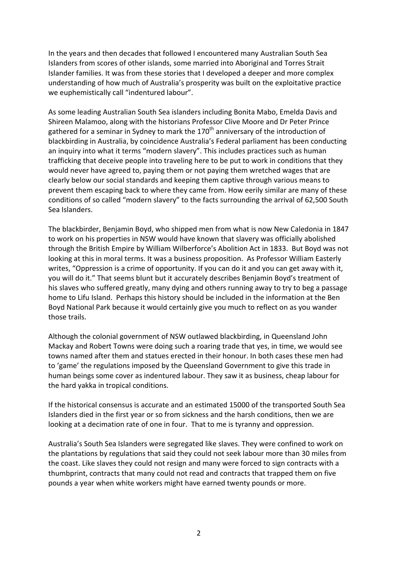In the years and then decades that followed I encountered many Australian South Sea Islanders from scores of other islands, some married into Aboriginal and Torres Strait Islander families. It was from these stories that I developed a deeper and more complex understanding of how much of Australia's prosperity was built on the exploitative practice we euphemistically call "indentured labour".

As some leading Australian South Sea islanders including Bonita Mabo, Emelda Davis and Shireen Malamoo, along with the historians Professor Clive Moore and Dr Peter Prince gathered for a seminar in Sydney to mark the  $170<sup>th</sup>$  anniversary of the introduction of blackbirding in Australia, by coincidence Australia's Federal parliament has been conducting an inquiry into what it terms "modern slavery". This includes practices such as human trafficking that deceive people into traveling here to be put to work in conditions that they would never have agreed to, paying them or not paying them wretched wages that are clearly below our social standards and keeping them captive through various means to prevent them escaping back to where they came from. How eerily similar are many of these conditions of so called "modern slavery" to the facts surrounding the arrival of 62,500 South Sea Islanders.

The blackbirder, Benjamin Boyd, who shipped men from what is now New Caledonia in 1847 to work on his properties in NSW would have known that slavery was officially abolished through the British Empire by William Wilberforce's Abolition Act in 1833. But Boyd was not looking at this in moral terms. It was a business proposition. As Professor William Easterly writes, "Oppression is a crime of opportunity. If you can do it and you can get away with it, you will do it." That seems blunt but it accurately describes Benjamin Boyd's treatment of his slaves who suffered greatly, many dying and others running away to try to beg a passage home to Lifu Island. Perhaps this history should be included in the information at the Ben Boyd National Park because it would certainly give you much to reflect on as you wander those trails.

Although the colonial government of NSW outlawed blackbirding, in Queensland John Mackay and Robert Towns were doing such a roaring trade that yes, in time, we would see towns named after them and statues erected in their honour. In both cases these men had to 'game' the regulations imposed by the Queensland Government to give this trade in human beings some cover as indentured labour. They saw it as business, cheap labour for the hard yakka in tropical conditions.

If the historical consensus is accurate and an estimated 15000 of the transported South Sea Islanders died in the first year or so from sickness and the harsh conditions, then we are looking at a decimation rate of one in four. That to me is tyranny and oppression.

Australia's South Sea Islanders were segregated like slaves. They were confined to work on the plantations by regulations that said they could not seek labour more than 30 miles from the coast. Like slaves they could not resign and many were forced to sign contracts with a thumbprint, contracts that many could not read and contracts that trapped them on five pounds a year when white workers might have earned twenty pounds or more.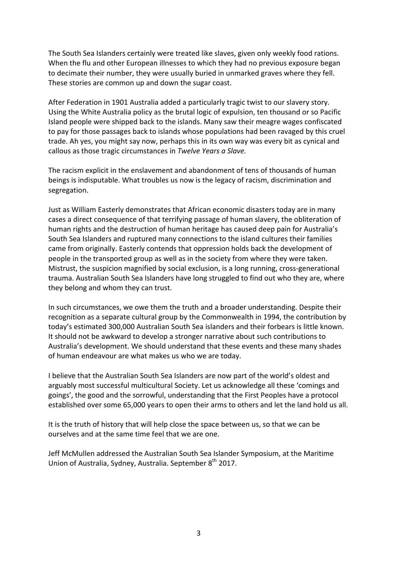The South Sea Islanders certainly were treated like slaves, given only weekly food rations. When the flu and other European illnesses to which they had no previous exposure began to decimate their number, they were usually buried in unmarked graves where they fell. These stories are common up and down the sugar coast.

After Federation in 1901 Australia added a particularly tragic twist to our slavery story. Using the White Australia policy as the brutal logic of expulsion, ten thousand or so Pacific Island people were shipped back to the islands. Many saw their meagre wages confiscated to pay for those passages back to islands whose populations had been ravaged by this cruel trade. Ah yes, you might say now, perhaps this in its own way was every bit as cynical and callous as those tragic circumstances in *Twelve Years a Slave.* 

The racism explicit in the enslavement and abandonment of tens of thousands of human beings is indisputable. What troubles us now is the legacy of racism, discrimination and segregation. 

Just as William Easterly demonstrates that African economic disasters today are in many cases a direct consequence of that terrifying passage of human slavery, the obliteration of human rights and the destruction of human heritage has caused deep pain for Australia's South Sea Islanders and ruptured many connections to the island cultures their families came from originally. Easterly contends that oppression holds back the development of people in the transported group as well as in the society from where they were taken. Mistrust, the suspicion magnified by social exclusion, is a long running, cross-generational trauma. Australian South Sea Islanders have long struggled to find out who they are, where they belong and whom they can trust.

In such circumstances, we owe them the truth and a broader understanding. Despite their recognition as a separate cultural group by the Commonwealth in 1994, the contribution by today's estimated 300,000 Australian South Sea islanders and their forbears is little known. It should not be awkward to develop a stronger narrative about such contributions to Australia's development. We should understand that these events and these many shades of human endeavour are what makes us who we are today.

I believe that the Australian South Sea Islanders are now part of the world's oldest and arguably most successful multicultural Society. Let us acknowledge all these 'comings and goings', the good and the sorrowful, understanding that the First Peoples have a protocol established over some 65,000 years to open their arms to others and let the land hold us all.

It is the truth of history that will help close the space between us, so that we can be ourselves and at the same time feel that we are one.

Jeff McMullen addressed the Australian South Sea Islander Symposium, at the Maritime Union of Australia, Sydney, Australia, September 8<sup>th</sup> 2017.